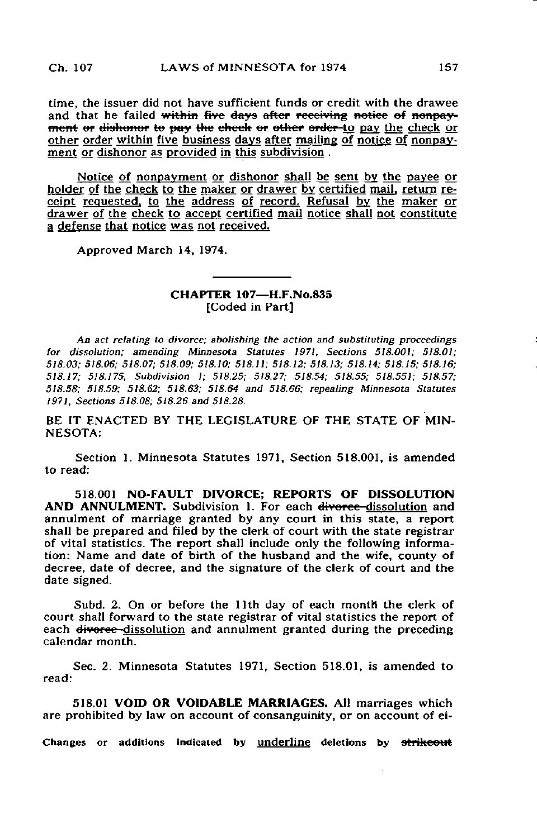time, the issuer did not have sufficient funds or credit with the drawee and that he failed within five days after receiving notice of nonpayment or dishonor to pay the check or other order to pay the check or other order within five business days after mailing of notice of nonpayment or dishonor as provided in this subdivision .

Notice of nonpayment or dishonor shall be sent by the payee or holder of the check to the maker or drawer by certified mail, return receipt requested, to the address of record. Refusal by the maker or drawer of the check to accept certified mail notice shall not constitute a defense that notice was not received.

Approved March 14, 1974.

## CHAPTER 107—H.F.No.835 [Coded in Part]

An act relating to divorce; abolishing the action and substituting proceedings for dissolution; amending Minnesota Statutes 1971. Sections 518.001; 518.01; 518.03; 518.06; 518.07; 518.09; 518.10; 518.11; 518.12; 518.13; 518.14; 518.15; 518.16; 518.17; 518.175, Subdivision 1; 518.25; 518.27; 518.54; 518.55; 518.551; 518.57; 518.58; 518.59; 518.62; 518.63; 518.64 and 518.66; repealing Minnesota Statutes 1971, Sections 518.08; 518.26 and 518.28.

BE IT ENACTED BY THE LEGISLATURE OF THE STATE OF MIN-NESOTA:

Section 1. Minnesota Statutes 1971, Section 518.001, is amended to read:

518.001 NO-FAULT DIVORCE; REPORTS OF DISSOLUTION AND ANNULMENT. Subdivision 1. For each divorce-dissolution and annulment of marriage granted by any court in this state, a report shall be prepared and filed by the clerk of court with the state registrar of vital statistics. The report shall include only the following information: Name and date of birth of the husband and the wife, county of decree, date of decree, and the signature of the clerk of court and the date signed.

Subd. 2. On or before the llth day of each month the clerk of court shall forward to the state registrar of vital statistics the report of each <del>divorce</del>-dissolution and annulment granted during the preceding calendar month.

Sec. 2. Minnesota Statutes 1971, Section 518.01, is amended to read:

518.01 VOID OR VOIDABLE MARRIAGES. AH marriages which are prohibited by law on account of consanguinity, or on account of ei-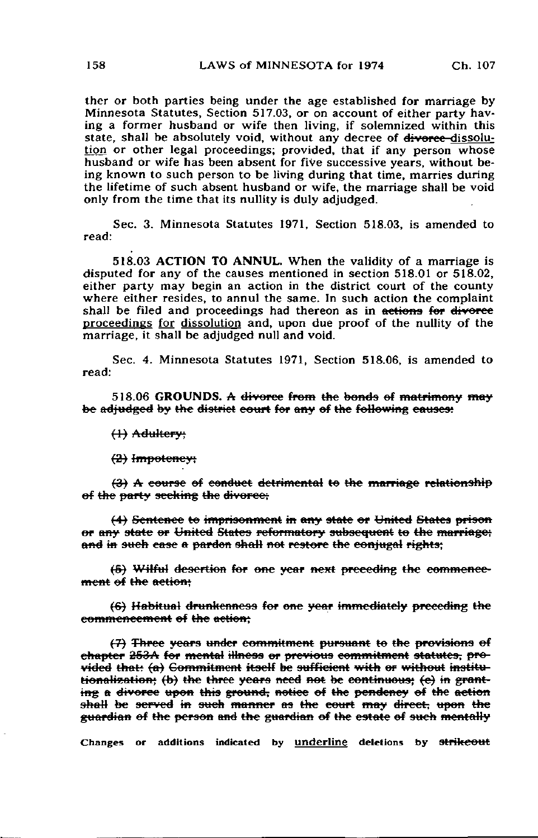ther or both parties being under the age established for marriage by Minnesota Statutes, Section 517.03, or on account of either party having a former husband or wife then living, if solemnized within this state, shall be absolutely void, without any decree of diverce-dissolution or other legal proceedings; provided, that if any person whose husband or wife has been absent for five successive years, without being known to such person to be living during that time, marries during the lifetime of such absent husband or wife, the marriage shall be void only from the time that its nullity is duly adjudged.

Sec. 3. Minnesota Statutes 1971, Section 518.03, is amended to read:

518.03 ACTION TO ANNUL. When the validity of a marriage is disputed for any of the causes mentioned in section  $518.01$  or  $518.02$ , either party may begin an action in the district court of the county where either resides, to annul the same. In such action the complaint shall be filed and proceedings had thereon as in actions for divorce proceedings for dissolution and, upon due proof of the nullity of the marriage, it shall be adjudged null and void.

Sec. 4. Minnesota Statutes 1971, Section 518.06, is amended to read:

518.06 GROUNDS. A divorce from the bonds of matrimony may be adjudged by the district court for any of the following causes:

t±) Adultery-

(3} Impotency;

{£) A course of conduct detrimental te the marriage relationship of the party seeking the divorce;

(4) Sentence to imprisonment in any state or United States prison er any state or United States reformatory subsequent to the marriage; and in such case a pardon shall not restore the conjugal rights;

(6) Wilful desertion for one year next preceding the commence ment of the action:

(S) Habitual drunkenness for ene year immediately preceding the commencement of the action;

(7) Three years under commitment pursuant to the provisions of chapter 253A for mental illness or previous commitment statutes, provided that? (a) Commitment ttsetf be sufficient with er without institu tionalization; (b) the three years need not be continuous; (e) in granting a divorce upon this ground, notice of the pendency of the action shall be served in such manner as the court may direct, upon the guardian of the person and the guardian ef the estate ef sueh mentally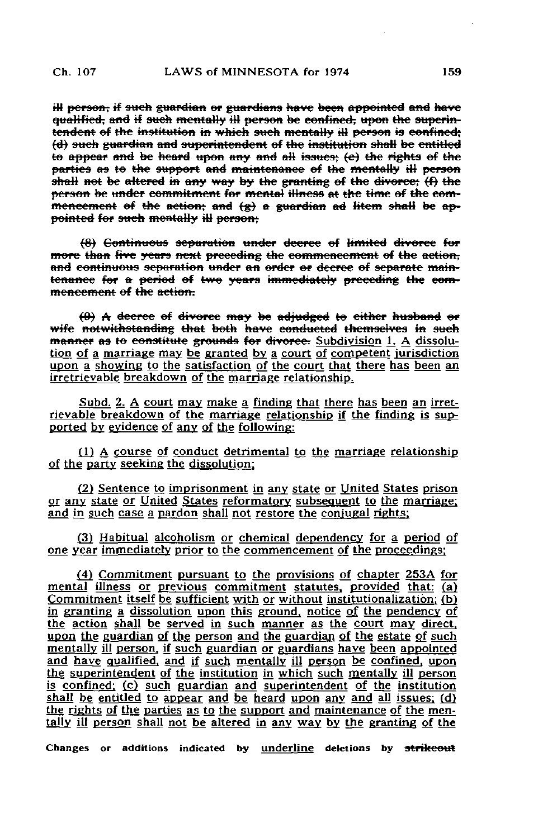ill person, if such guardian or guardians have been appointed and have qualified, and if such mentally ill person be confined, upon the superintendent of the institution in which such mentally ill person is confined; (d) such guardian and superintendent of the institution shall be entitled to appear and be heard upon any and all issues;  $(e)$  the rights of the parties as to the support and maintenance of the mentally ill person shall not be altered in any way by the granting of the divorce;  $(f)$  the person be under commitment for mental illness at the time of the commencement of the action; and  $\left(\alpha\right)$  a guardian ad litem shall be appointed for such mentally ill person;

(8) Continuous separation under decree of limited divorce for more than five years next preceding the commencement of the action, and continuous separation under an order or decree of separate maintenance for a period of two years immediately preceding the commencement of the action.

 $(0)$  A decree of divorce may be adjudged to either husband or wife notwithstanding that both have conducted themselves in such manner as to constitute grounds for divorce. Subdivision 1. A dissolution of a marriage may be granted by a court of competent jurisdiction upon a showing to the satisfaction of the court that there has been an irretrievable breakdown of the marriage relationship.

Subd. 2. A court may make a finding that there has been an irretrievable breakdown of the marriage relationship if the finding is supported by evidence of any of the following:

(1) A course of conduct detrimental to the marriage relationship of the party seeking the dissolution;

(2) Sentence to imprisonment in any state or United States prison or any state or United States reformatory subsequent to the marriage: and in such case a pardon shall not restore the conjugal rights;

(3) Habitual alcoholism or chemical dependency for a period of one year immediately prior to the commencement of the proceedings:

(4) Commitment pursuant to the provisions of chapter 253A for mental illnegs or previous commitment statutes, provided that: (a) Commitment itself be sufficient with or without institutionalization: (b) in granting a dissolution upon this ground, notice of the pendency of the action shall be served in such manner as the court may direct, upon the guardian of the person and the guardian of the estate of such mentally ill person, if such guardian or guardians have been appointed and have qualified, and if such mentally ill person be confined, upon the superintendent of the institution in which such mentally ill person is confined: (c) such guardian and superintendent of the institution shall be entitled to appear and be heard upon any and all issues;  $(d)$ the rights of the parties as to the support and maintenance of the mentally ill person shall not be altered in any way by the granting of the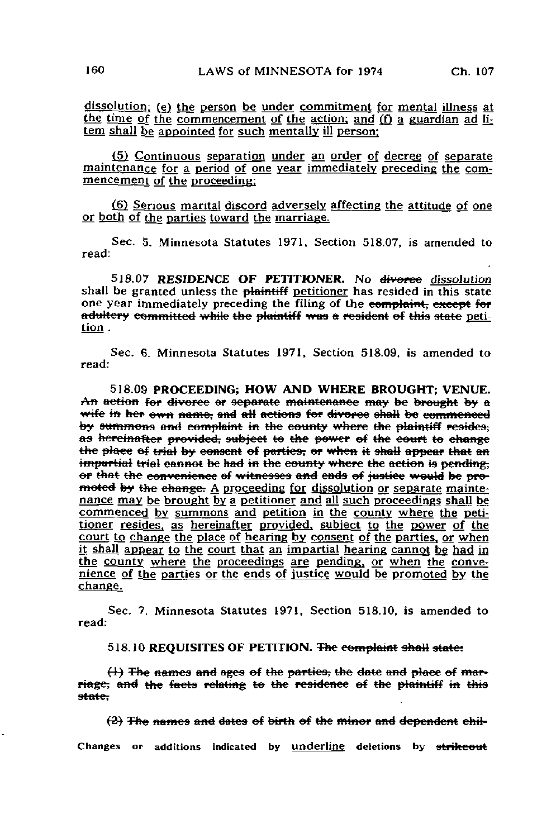dissolution; (e) the person be under commitment for mental illness at the time of the commencement of the action; and (f) a guardian ad litem shall be appointed for such mentally ill person:

(5) Continuous separation under an order of decree of separate maintenance for a period of one year immediately preceding the commencement of the proceeding;

(6) Serious marital discord adversely affecting the attitude of one or both of the parties toward the marriage.

Sec. 5. Minnesota Statutes 1971, Section 518.07, is amended to read:

518.07 RESIDENCE OF PETITIONER. No divorce dissolution shall be granted unless the plaintiff petitioner has resided in this state one year immediately preceding the filing of the complaint, except for adultery committed while the plaintiff was a resident of this state petition .

Sec. 6. Minnesota Statutes 1971, Section 518.09, is amended to read:

518.09 PROCEEDING; HOW AND WHERE BROUGHT; VENUE. An action for divorce or separate maintenance may be brought by a wife in her own name, and all actions for divorce shall be commenced by summons and complaint in the county where the plaintiff resides; as hereinafter provided, subject to the power of the court to change the place of trial by consent of parties, or when it shall appear that an impartial trial cannot be had in the county where the action is pending. or that the convenience of witnesses and ends of justice would be promoted by the change. A proceeding for dissolution or separate maintenance may be brought by a petitioner and all such proceedings shall be commenced by summons and petition in the county where the petitioner resides, as hereinafter provided, subject to the power of the court to change the place of hearing by consent of the parties, or when it shall appear to the court that an impartial hearing cannot be had in the county where the proceedings are pending, or when the convenience of the parties or the ends of justice would be promoted by the change.

Sec. 7. Minnesota Statutes 1971. Section 518.10, is amended to read:

518.10 REQUISITES OF PETITION. The complaint shall state:

1) The names and ages of the parties, the riage, and the facts relating to the residence of the plaintiff in this state.

 $(2)$  The names and dates of birth of the minor and dependent chil-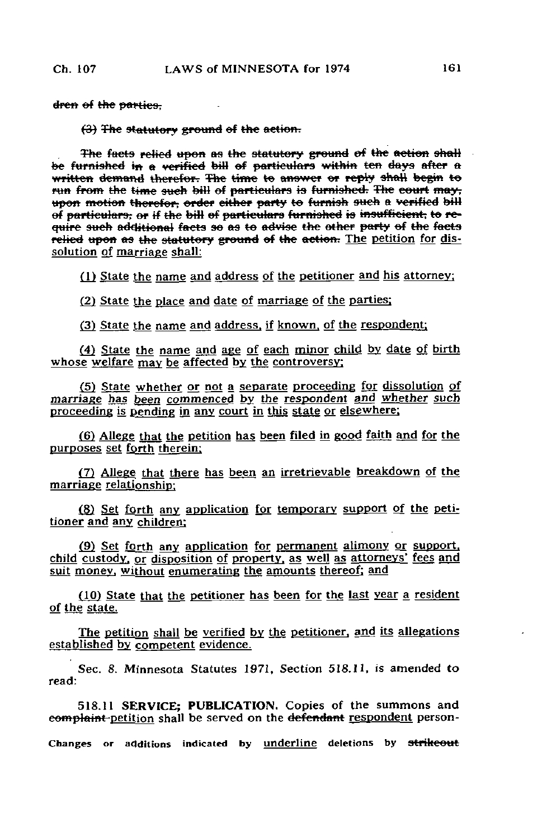dren of the parties,

 $(3)$  The statutory ground of the action.

The facts relied upon as the statutory ground of the action shall be furnished in a verified bill of particulars within ten days after a written demand therefor. The time to answer or reply shall begin to run from the time such bill of particulars is furnished. The eourt may, upon motion therefor, order either party to furnish such a verified bill of particulars; or if the bill of particulars furnished is insufficient, to require such additional facts so as to advise the other party of the facts relied upon as the statutory ground of the action. The petition for dissolution of marriage shall:

(1) State the name and address of the petitioner and his attorney;

(2) State the place and date of marriage of the parties:

(3) State the name and address, if known, of the respondent;

(4) State the name and age of each minor child by date of birth whose welfare may be affected by the controversy:

(5) State whether or not a separate proceeding for dissolution of marriage has been commenced by the respondent and whether such proceeding is pending in any court in this state or elsewhere;

(6) Allege that the petition has been filed in good faith and for the purposes set forth therein:

(7) Allege that there has been an irretrievable breakdown of the marriage relationship^

(8) Set forth any application for temporary support of the petitioner and any children;

(9) Set forth any application for permanent alimony or support. child custody, or disposition of property, as well as attorneys' fees and suit money, without enumerating the amounts thereof; and

(10) State that the petitioner has been for the last year a resident of the statg.

The petition shall be verified by the petitioner, and its allegations established by competent evidence.

Sec. 8. Minnesota Statutes 1971. Section 518.11, is amended to read:

518.11 SERVICE; PUBLICATION. Copies of the summons and eomplaint-petition shall be served on the defendant respondent person-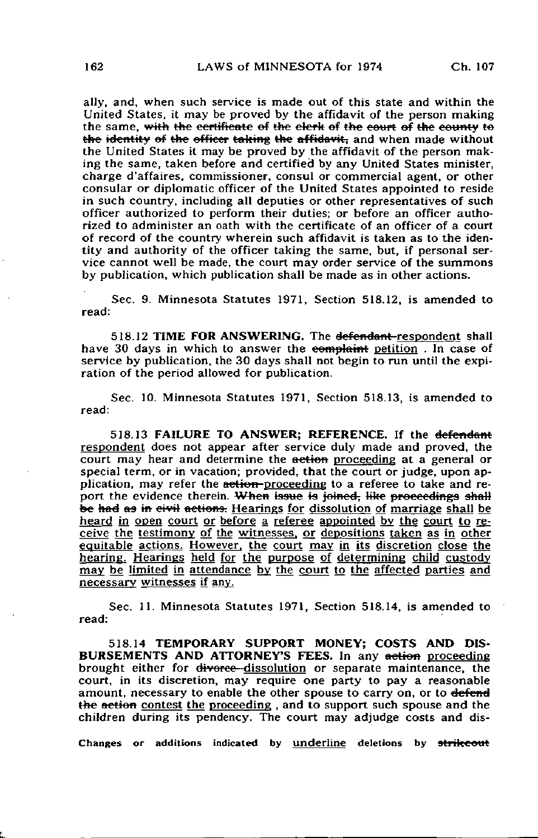ally, and, when such service is made out of this state and within the United States, it may be proved by the affidavit of the person making the same, with the certificate of the elerk of the court of the county to the identity of the officer taking the affidavit; and when made without the United States it may be proved by the affidavit of the person making the same, taken before and certified by any United States minister, charge d'affaires, commissioner, consul or commercial agent, or other consular or diplomatic officer of the United States appointed to reside in such country, including all deputies or other representatives of such officer authorized to perform their duties; or before an officer authorized to administer an oath with the certificate of an officer of a court of record of the country wherein such affidavit is taken as to the identity and authority of the officer taking the same, but, if personal service cannot well be made, the court may order service of the summons by publication, which publication shall be made as in other actions.

Sec. 9. Minnesota Statutes 1971, Section 518.12, is amended to read:

518.12 TIME FOR ANSWERING. The defendant-respondent shall have 30 days in which to answer the complaint petition. In case of service by publication, the 30 days shall not begin to run until the expiration of the period allowed for publication.

Sec. 10. Minnesota Statutes 1971, Section 518.13, is amended to read:

518.13 FAILURE TO ANSWER; REFERENCE. If the defendant respondent does not appear after service duly made and proved, the court may hear and determine the action proceeding at a general or special term, or in vacation; provided, that the court or judge, upon application, may refer the action-proceeding to a referee to take and report the evidence therein. When issue is joined, like proceedings shall be had as in eivil actions. Hearings for dissolution of marriage shall be heard in open court or before a referee appointed by the court to receive the testimony of the witnesses, or depositions taken as in other equitable actions. However, the court may in its discretion close the hearing. Hearings held for the purpose of determining child custody may be limited in attendance by the court to the affected parties and necessary witnesses if any.

Sec. 11. Minnesota Statutes 1971, Section 518.14, is amended to read:

518.14 TEMPORARY SUPPORT MONEY; COSTS AND DIS-BURSEMENTS AND ATTORNEY'S FEES. In any action proceeding brought either for divorce-dissolution or separate maintenance, the court, in its discretion, may require one party to pay a reasonable amount, necessary to enable the other spouse to carry on, or to defend the aetion contest the proceeding, and to support such spouse and the children during its pendency. The court may adjudge costs and dis-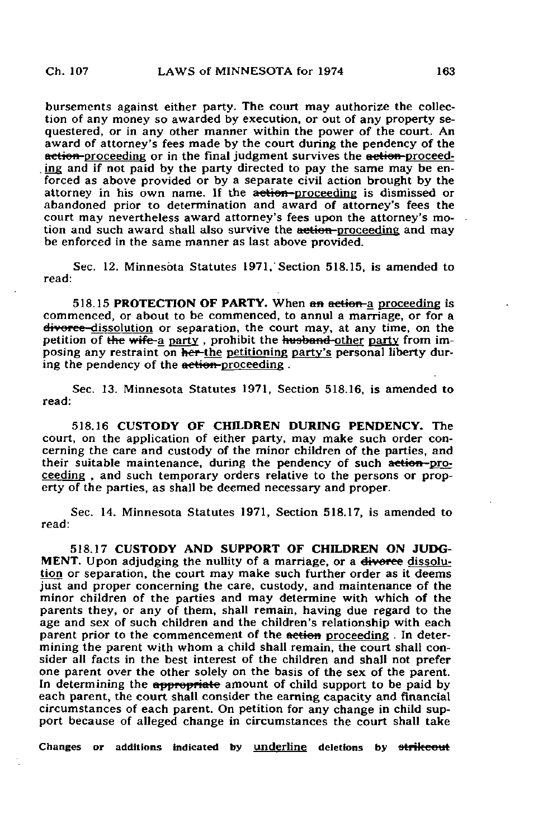bursements against either party. The court may authorize the collection of any money so awarded by execution, or out of any property sequestered, or in any other manner within the power of the court. An award of attorney's fees made by the court during the pendency of the action-proceeding or in the final judgment survives the action-proceeding and if not paid by the party directed to pay the same may be enforced as above provided or by a separate civil action brought by the attorney in his own name. If the action-proceeding is dismissed or abandoned prior to determination and award of attorney's fees the court may nevertheless award attorney's fees upon the attorney's motion and such award shall also survive the action-proceeding and may be enforced in the same manner as last above provided.

Sec. 12. Minnesota Statutes 1971, Section 518.15, is amended to read:

518.15 PROTECTION OF PARTY. When an action-a proceeding is commenced, or about to be commenced, to annul a marriage, or for a divorce-dissolution or separation, the court may, at any time, on the petition of the wife-a party, prohibit the husband-other party from imposing any restraint on her-the petitioning party's personal liberty during the pendency of the action proceeding .

Sec. 13. Minnesota Statutes 1971, Section 518.16, is amended to read:

518.16 CUSTODY OF CHILDREN DURING PENDENCY. The court, on the application of either party, may make such order concerning the care and custody of the minor children of the parties, and their suitable maintenance, during the pendency of such action-proceeding , and such temporary orders relative to the persons or property of the parties, as shall be deemed necessary and proper.

Sec. 14. Minnesota Statutes 1971, Section 518.17, is amended to read:

518.17 CUSTODY AND SUPPORT OF CHILDREN ON JUDG-MENT. Upon adjudging the nullity of a marriage, or a diverse dissolution or separation, the court may make such further order as it deems just and proper concerning the care, custody, and maintenance of the minor children of the parties and may determine with which of the parents they, or any of them, shall remain, having due regard to the age and sex of such children and the children's relationship with each parent prior to the commencement of the aetion proceeding. In determining the parent with whom a child shall remain, the court shall consider all facts in the best interest of the children and shall not prefer one parent over the other solely on the basis of the sex of the parent. In determining the appropriate amount of child support to be paid by each parent, the court shall consider the earning capacity and financial circumstances of each parent. On petition for any change in child support because of alleged change in circumstances the court shall take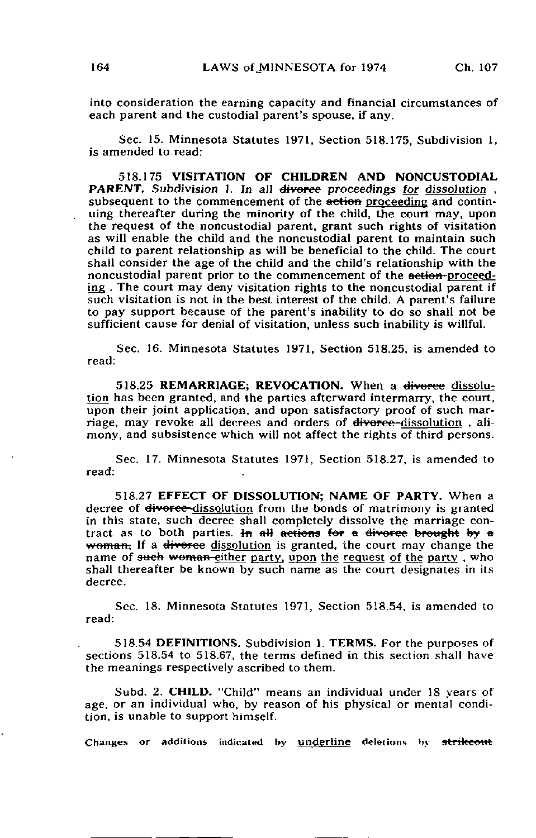into consideration the earning capacity and financial circumstances of each parent and the custodial parent's spouse, if any.

Sec. 15. Minnesota Statutes 1971, Section 518.175, Subdivision 1, is amended to read:

518.175 VISITATION OF CHILDREN AND NONCUSTODIAL PARENT. Subdivision 1. In all divorce proceedings for dissolution, subsequent to the commencement of the **action** proceeding and continuing thereafter during the minority of the child, the court may, upon the request of the noncustodial parent, grant such rights of visitation as will enable the child and the noncustodial parent to maintain such child to parent relationship as will be beneficial to the child. The court shall consider the age of the child and the child's relationship with the noncustodial parent prior to the commencement of the action-proceeding . The court may deny visitation rights to the noncustodial parent if such visitation is not in the best interest of the child. A parent's failure to pay support because of the parent's inability to do so shall not be sufficient cause for denial of visitation, unless such inability is willful.

Sec. 16. Minnesota Statutes 1971, Section 518.25, is amended to read:

518.25 REMARRIAGE; REVOCATION. When a divorce dissolution has been granted, and the parties afterward intermarry, the court, upon their joint application, and upon satisfactory proof of such marriage, may revoke all decrees and orders of diversee-dissolution, alimony, and subsistence which will not affect the rights of third persons.

Sec. 17. Minnesota Statutes 1971, Section 518.27, is amended to read:

518.27 EFFECT OF DISSOLUTION; NAME OF PARTY. When a decree of <del>divorce</del>-dissolution from the bonds of matrimony is granted in this state, such  $\overline{\text{decrete}}$  shall completely dissolve the marriage contract as to both parties. In all actions for a divorce brought by a woman, If a divorce dissolution is granted, the court may change the name of such woman-either party, upon the request of the party, who shall thereafter be known by such name as the court designates in its decree.

Sec. 18. Minnesota Statutes 1971, Section 518.54, is amended to read:

518.54 DEFINITIONS. Subdivision I. TERMS. For the purposes of sections 518.54 to 518.67, the terms defined in this section shall have the meanings respectively ascribed to them.

Subd. 2. CHILD. "Child" means an individual under 18 years of age, or an individual who, by reason of his physical or mental condition, is unable to support himself.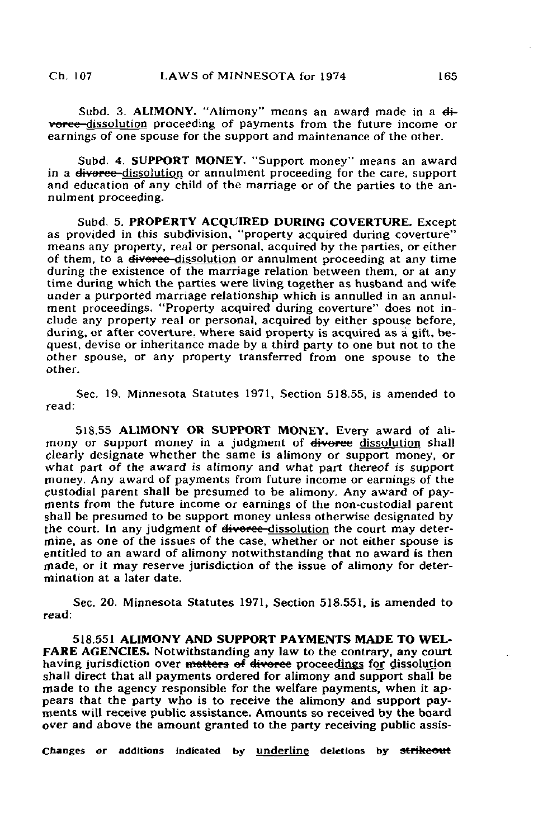Subd. 3. ALIMONY. "Alimony" means an award made in a  $di$ vorce-dissolution proceeding of payments from the future income or earnings of one spouse for the support and maintenance of the other.

Subd. 4. SUPPORT MONEY. "Support money" means an award in a divorce dissolution or annulment proceeding for the care, support and education of any child of the marriage or of the parties to the annulment proceeding.

Subd. 5. PROPERTY ACQUIRED DURING COVERTURE. Except as provided in this subdivision, "property acquired during coverture" means any property, real or personal, acquired by the parties, or either of them, to a <del>divorce dissolution</del> or annulment proceeding at any time during the existence of the marriage relation between them, or at any time during which the parties were living together as husband and wife under a purported marriage relationship which is annulled in an annulment proceedings. "Property acquired during coverture" does not include any property real or personal, acquired by either spouse before, during, or after coverture, where said property is acquired as a gift, bequest, devise or inheritance made by a third party to one but not to the other spouse, or any property transferred from one spouse to the other.

Sec. 19. Minnesota Statutes 1971, Section 518.55, is amended to read:

518.55 ALIMONY OR SUPPORT MONEY. Every award of alimony or support money in a judgment of divorce dissolution shall clearly designate whether the same is alimony or support money, or what part of the award is alimony and what part thereof is support money. Any award of payments from future income or earnings of the custodial parent shall be presumed to be alimony. Any award of payments from the future income or earnings of the non-custodial parent shall be presumed to be support money unless otherwise designated by the court. In any judgment of <del>divorce</del>-dissolution the court may determine, as one of the issues of the case, whether or not either spouse is entitled to an award of alimony notwithstanding that no award is then made, or it may reserve jurisdiction of the issue of alimony for determination at a later date.

Sec. 20. Minnesota Statutes 1971, Section 518.551, is amended to read:

518.551 ALIMONY AND SUPPORT PAYMENTS MADE TO WEL-FARE AGENCIES. Notwithstanding any law to the contrary, any court having jurisdiction over matters of divorce proceedings for dissolution shall direct that all payments ordered for alimony and support shall be made to the agency responsible for the welfare payments, when it appears that the party who is to receive the alimony and support payments will receive public assistance. Amounts so received by the board over and above the amount granted to the party receiving public assis-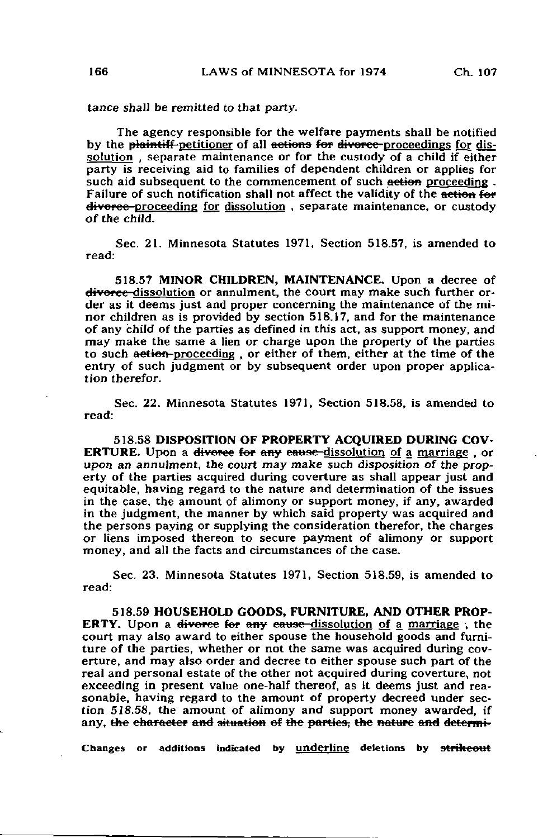tance shall be remitted to that party.

The agency responsible for the welfare payments shall be notified by the plaintiff-petitioner of all actions for divorce-proceedings for dissolution , separate maintenance or for the custody of a child if either party is receiving aid to families of dependent children or applies for such aid subsequent to the commencement of such action proceeding. Failure of such notification shall not affect the validity of the action for divorce-proceeding for dissolution, separate maintenance, or custody of the child.

Sec. 21. Minnesota Statutes 1971, Section 518.57, is amended to read:

518.57 MINOR CHILDREN, MAINTENANCE. Upon a decree of divorce-dissolution or annulment, the court may make such further order as it deems just and proper concerning the maintenance of the minor children as is provided by section 518.17, and for the maintenance of any child of the parties as defined in this act, as support money, and may make the same a lien or charge upon the property of the parties to such action-proceeding, or either of them, either at the time of the entry of such judgment or by subsequent order upon proper application therefor.

Sec. 22. Minnesota Statutes 1971, Section 518.58, is amended to read:

518.58 DISPOSITION OF PROPERTY ACQUIRED DURING COV-**ERTURE.** Upon a divorce for any cause-dissolution of a marriage or upon an annulment, the court may make such disposition of the property of the parties acquired during coverture as shall appear just and equitable, having regard to the nature and determination of the issues in the case, the amount of alimony or support money, if any, awarded in the judgment, the manner by which said property was acquired and the persons paying or supplying the consideration therefor, the charges or liens imposed thereon to secure payment of alimony or support money, and all the facts and circumstances of the case.

Sec. 23. Minnesota Statutes 1971, Section 518.59, is amended to read:

518.59 HOUSEHOLD GOODS, FURNITURE, AND OTHER PROP-**ERTY.** Upon a <del>divorce for any cause d</del>issolution of a marriage; the court may also award to either spouse the household goods and furniture of the parties, whether or not the same was acquired during coverture, and may also order and decree to either spouse such part of the real and personal estate of the other not acquired during coverture, not exceeding in present value one-half thereof, as it deems just and reasonable, having regard to the amount of property decreed under section 518.58, the amount of alimony and support money awarded, if any, the character and situation of the parties, the nature and determi-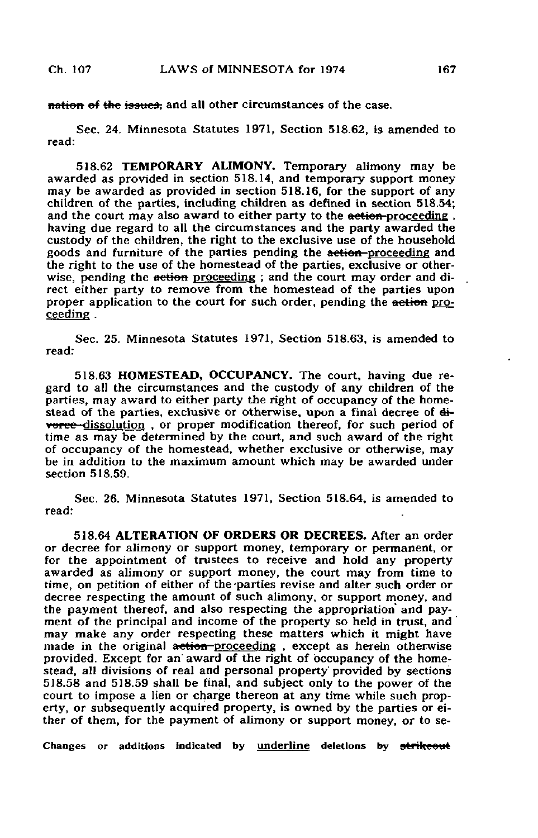notion of the issues, and all other circumstances of the case.

Sec. 24. Minnesota Statutes 1971, Section 518.62, is amended to read:

518.62 TEMPORARY ALIMONY. Temporary alimony may be awarded as provided in section 518.14, and temporary support money may be awarded as provided in section 518.16, for the support of any children of the parties, including children as defined in section 518.54; and the court may also award to either party to the action-proceeding, having due regard to all the circumstances and the party awarded the custody of the children, the right to the exclusive use of the household goods and furniture of the parties pending the action-proceeding and the right to the use of the homestead of the parties, exclusive or otherwise, pending the **ection** proceeding; and the court may order and direct either party to remove from the homestead of the parties upon proper application to the court for such order, pending the action proceeding .

Sec. 25. Minnesota Statutes 1971, Section 518.63, is amended to read:

518.63 HOMESTEAD, OCCUPANCY. The court, having due regard to all the circumstances and the custody of any children of the parties, may award to either party the right of occupancy of the homestead of the parties, exclusive or otherwise, upon a final decree of  $di$ vorce dissolution, or proper modification thereof, for such period of time as may be determined by the court, and such award of the right of occupancy of the homestead, whether exclusive or otherwise, may be in addition to the maximum amount which may be awarded under section 518.59.

Sec. 26. Minnesota Statutes 1971, Section 518.64, is amended to read:

518.64 ALTERATION OF ORDERS OR DECREES. After an order or decree for alimony or support money, temporary or permanent, or for the appointment of trustees to receive and hold any property awarded as alimony or support money, the court may from time to time, on petition of either of the-parties revise and alter such order or decree respecting the amount of such alimony, or support money, and the payment thereof, and also respecting the appropriation and payment of the principal and income of the property so held in trust, and' may make any order respecting these matters which it might have made in the original action-proceeding, except as herein otherwise provided. Except for an award of the right of occupancy of the homestead, all divisions of real and personal property provided by sections 518.58 and 518.59 shall be final, and subject only to the power of the court to impose a lien or charge thereon at any time while such property, or subsequently acquired property, is owned by the parties or either of them, for the payment of alimony or support money, or to se-